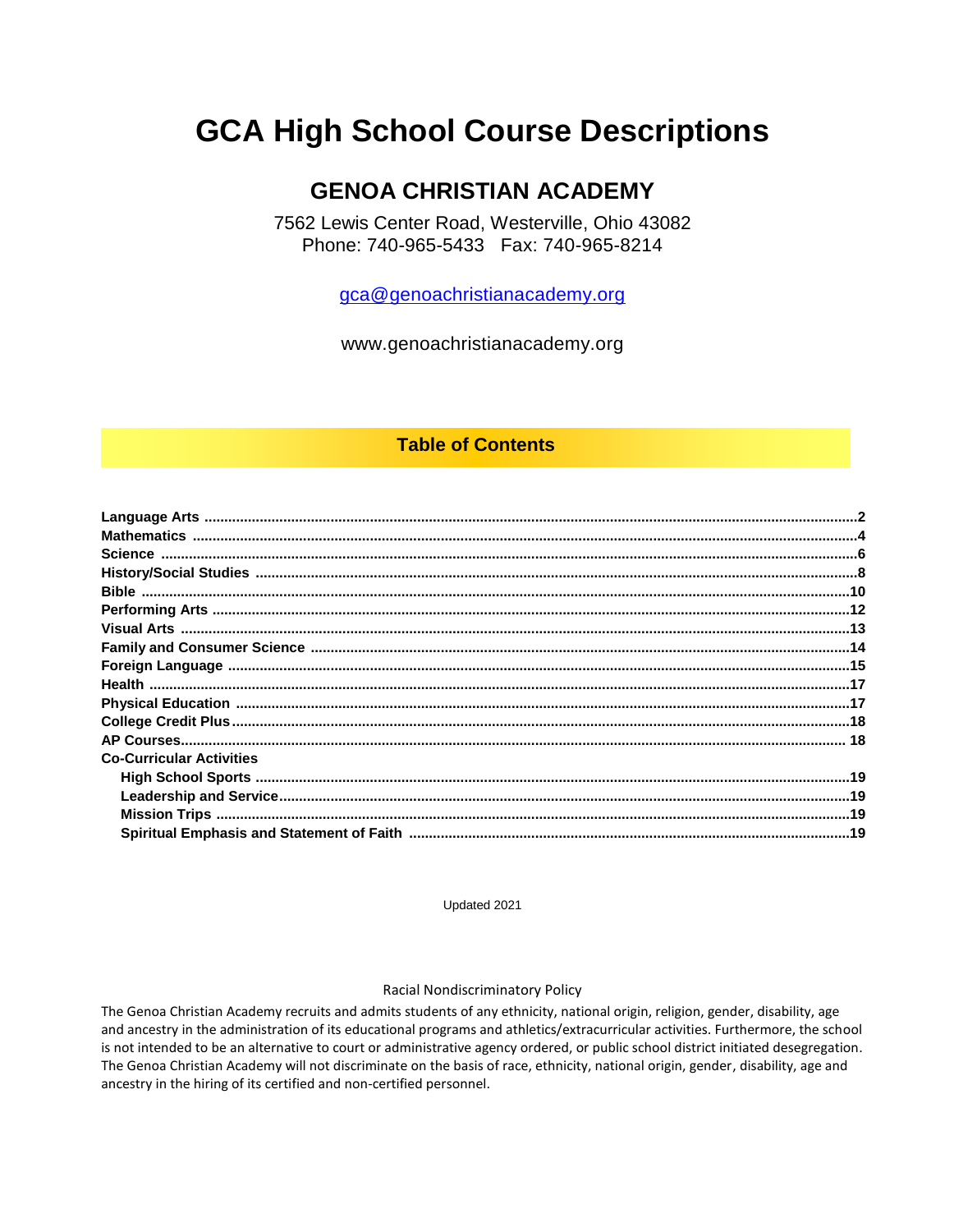# **GCA High School Course Descriptions**

# **GENOA CHRISTIAN ACADEMY**

7562 Lewis Center Road, Westerville, Ohio 43082 Phone: 740-965-5433 Fax: 740-965-8214

gca@genoachristianacademy.org

www.genoachristianacademy.org

# **Table of Contents**

| <b>Co-Curricular Activities</b> |  |
|---------------------------------|--|
|                                 |  |
|                                 |  |
|                                 |  |
|                                 |  |

Updated 2021

#### Racial Nondiscriminatory Policy

The Genoa Christian Academy recruits and admits students of any ethnicity, national origin, religion, gender, disability, age and ancestry in the administration of its educational programs and athletics/extracurricular activities. Furthermore, the school is not intended to be an alternative to court or administrative agency ordered, or public school district initiated desegregation. The Genoa Christian Academy will not discriminate on the basis of race, ethnicity, national origin, gender, disability, age and ancestry in the hiring of its certified and non-certified personnel.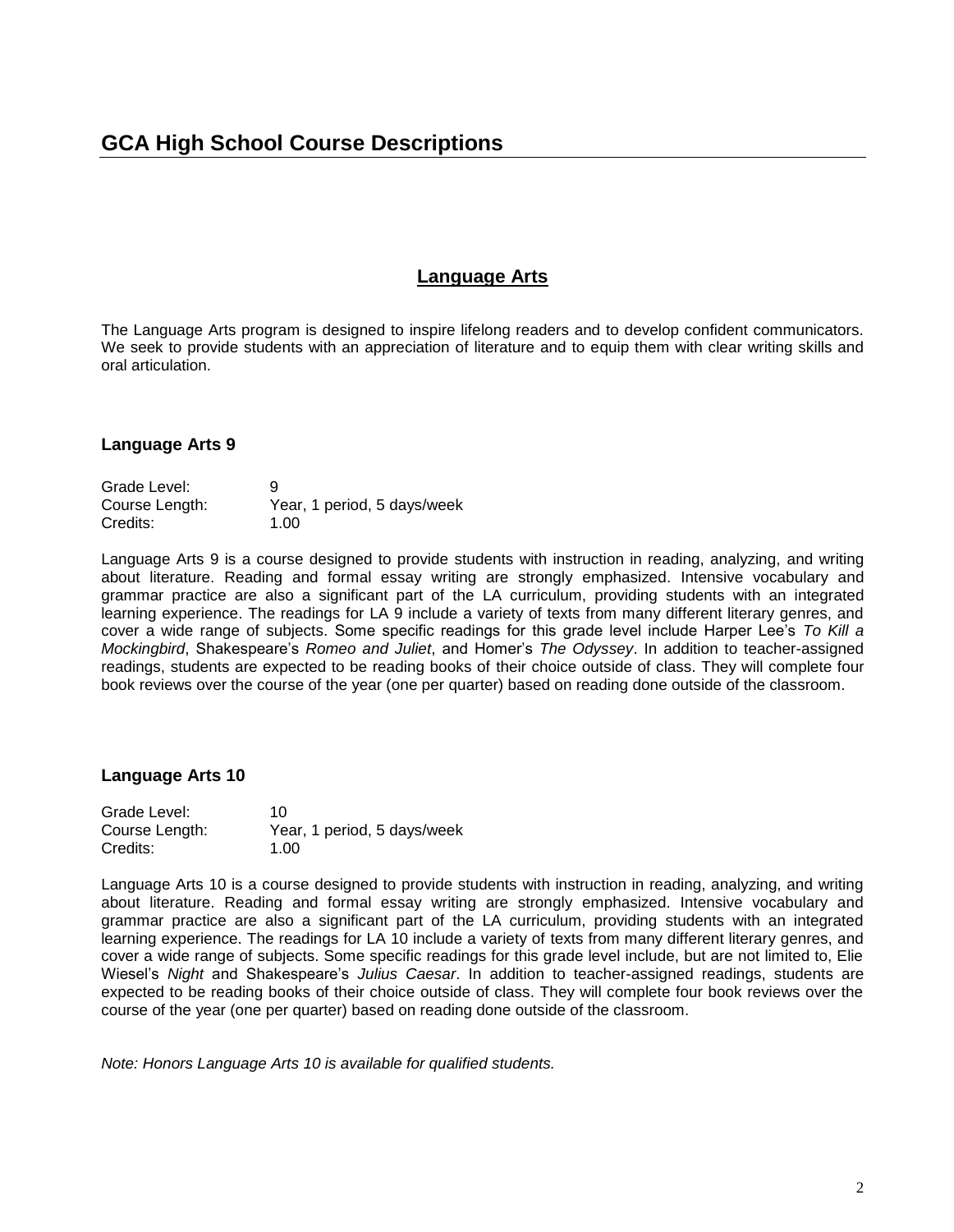# **Language Arts**

The Language Arts program is designed to inspire lifelong readers and to develop confident communicators. We seek to provide students with an appreciation of literature and to equip them with clear writing skills and oral articulation.

## **Language Arts 9**

| Grade Level:   | 9                           |
|----------------|-----------------------------|
| Course Length: | Year, 1 period, 5 days/week |
| Credits:       | 1.00                        |

Language Arts 9 is a course designed to provide students with instruction in reading, analyzing, and writing about literature. Reading and formal essay writing are strongly emphasized. Intensive vocabulary and grammar practice are also a significant part of the LA curriculum, providing students with an integrated learning experience. The readings for LA 9 include a variety of texts from many different literary genres, and cover a wide range of subjects. Some specific readings for this grade level include Harper Lee's *To Kill a Mockingbird*, Shakespeare's *Romeo and Juliet*, and Homer's *The Odyssey*. In addition to teacher-assigned readings, students are expected to be reading books of their choice outside of class. They will complete four book reviews over the course of the year (one per quarter) based on reading done outside of the classroom.

#### **Language Arts 10**

| Grade Level:   | 10                          |
|----------------|-----------------------------|
| Course Length: | Year, 1 period, 5 days/week |
| Credits:       | 1.00                        |

Language Arts 10 is a course designed to provide students with instruction in reading, analyzing, and writing about literature. Reading and formal essay writing are strongly emphasized. Intensive vocabulary and grammar practice are also a significant part of the LA curriculum, providing students with an integrated learning experience. The readings for LA 10 include a variety of texts from many different literary genres, and cover a wide range of subjects. Some specific readings for this grade level include, but are not limited to, Elie Wiesel's *Night* and Shakespeare's *Julius Caesar*. In addition to teacher-assigned readings, students are expected to be reading books of their choice outside of class. They will complete four book reviews over the course of the year (one per quarter) based on reading done outside of the classroom.

*Note: Honors Language Arts 10 is available for qualified students.*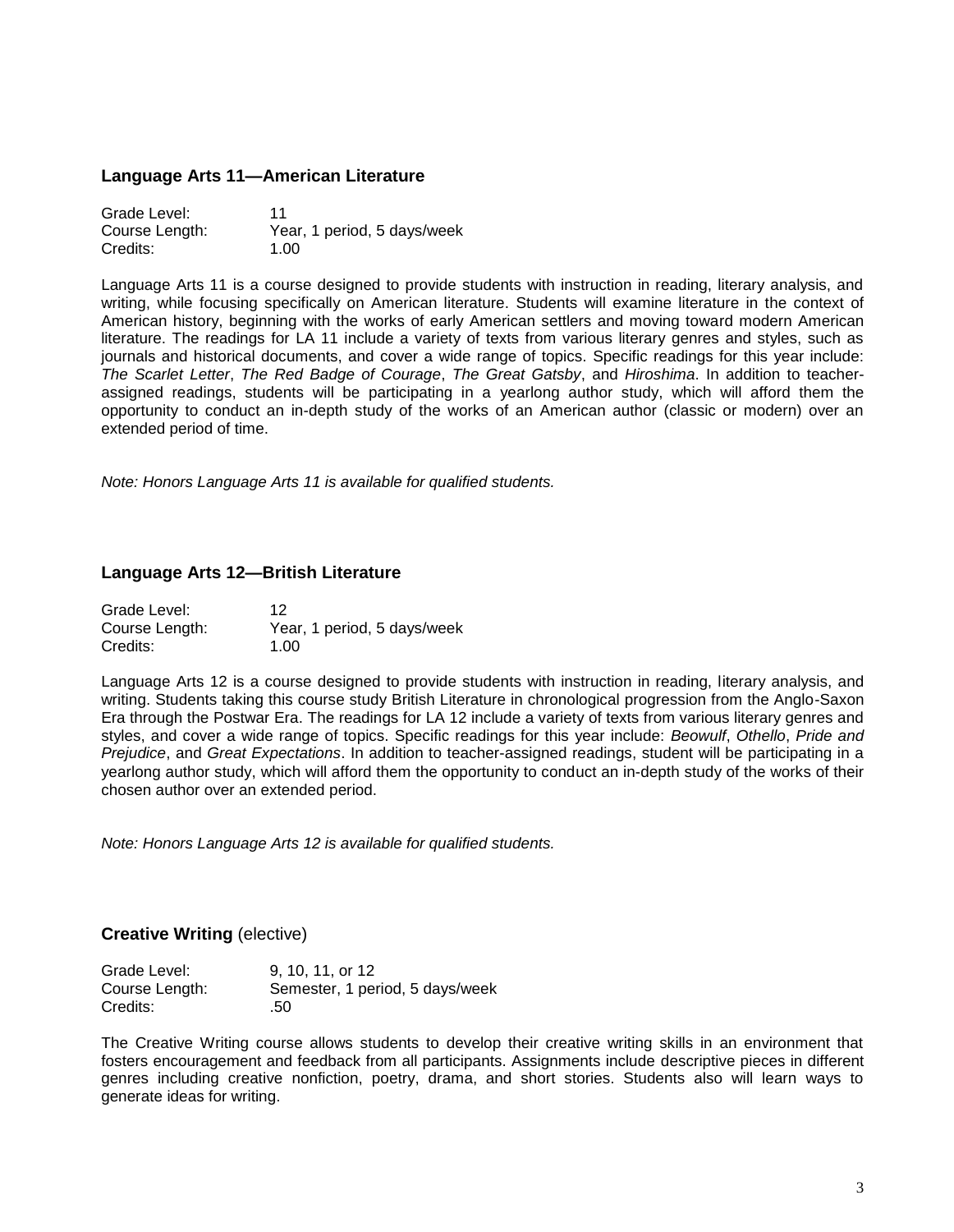#### **Language Arts 11—American Literature**

| Grade Level:   | 11                          |
|----------------|-----------------------------|
| Course Length: | Year, 1 period, 5 days/week |
| Credits:       | 1.00                        |

Language Arts 11 is a course designed to provide students with instruction in reading, literary analysis, and writing, while focusing specifically on American literature. Students will examine literature in the context of American history, beginning with the works of early American settlers and moving toward modern American literature. The readings for LA 11 include a variety of texts from various literary genres and styles, such as journals and historical documents, and cover a wide range of topics. Specific readings for this year include: *The Scarlet Letter*, *The Red Badge of Courage*, *The Great Gatsby*, and *Hiroshima*. In addition to teacherassigned readings, students will be participating in a yearlong author study, which will afford them the opportunity to conduct an in-depth study of the works of an American author (classic or modern) over an extended period of time.

*Note: Honors Language Arts 11 is available for qualified students.*

#### **Language Arts 12—British Literature**

| Grade Level:   | 12                          |
|----------------|-----------------------------|
| Course Length: | Year, 1 period, 5 days/week |
| Credits:       | 1.00                        |

Language Arts 12 is a course designed to provide students with instruction in reading, literary analysis, and writing. Students taking this course study British Literature in chronological progression from the Anglo-Saxon Era through the Postwar Era. The readings for LA 12 include a variety of texts from various literary genres and styles, and cover a wide range of topics. Specific readings for this year include: *Beowulf*, *Othello*, *Pride and Prejudice*, and *Great Expectations*. In addition to teacher-assigned readings, student will be participating in a yearlong author study, which will afford them the opportunity to conduct an in-depth study of the works of their chosen author over an extended period.

*Note: Honors Language Arts 12 is available for qualified students.*

#### **Creative Writing** (elective)

| Grade Level:   | 9, 10, 11, or 12                |
|----------------|---------------------------------|
| Course Length: | Semester, 1 period, 5 days/week |
| Credits:       | .50                             |

The Creative Writing course allows students to develop their creative writing skills in an environment that fosters encouragement and feedback from all participants. Assignments include descriptive pieces in different genres including creative nonfiction, poetry, drama, and short stories. Students also will learn ways to generate ideas for writing.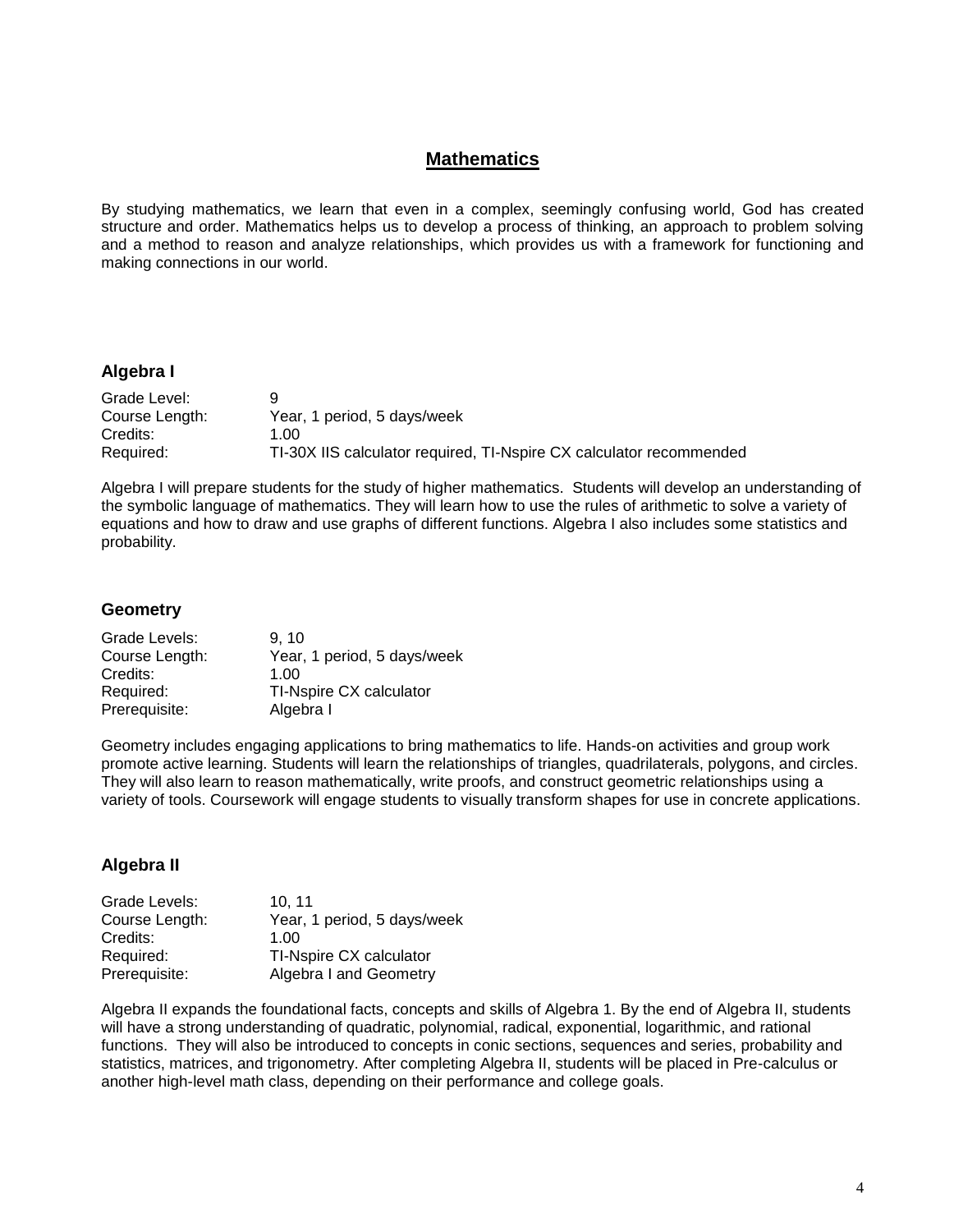# **Mathematics**

By studying mathematics, we learn that even in a complex, seemingly confusing world, God has created structure and order. Mathematics helps us to develop a process of thinking, an approach to problem solving and a method to reason and analyze relationships, which provides us with a framework for functioning and making connections in our world.

#### **Algebra I**

| Grade Level:   |                                                                     |
|----------------|---------------------------------------------------------------------|
| Course Length: | Year, 1 period, 5 days/week                                         |
| Credits:       | 1.00                                                                |
| Required:      | TI-30X IIS calculator required, TI-Nspire CX calculator recommended |

Algebra I will prepare students for the study of higher mathematics. Students will develop an understanding of the symbolic language of mathematics. They will learn how to use the rules of arithmetic to solve a variety of equations and how to draw and use graphs of different functions. Algebra I also includes some statistics and probability.

#### **Geometry**

| Grade Levels:  | 9.10                        |
|----------------|-----------------------------|
| Course Length: | Year, 1 period, 5 days/week |
| Credits:       | 1.00                        |
| Required:      | TI-Nspire CX calculator     |
| Prerequisite:  | Algebra I                   |

Geometry includes engaging applications to bring mathematics to life. Hands-on activities and group work promote active learning. Students will learn the relationships of triangles, quadrilaterals, polygons, and circles. They will also learn to reason mathematically, write proofs, and construct geometric relationships using a variety of tools. Coursework will engage students to visually transform shapes for use in concrete applications.

#### **Algebra II**

| Grade Levels:  | 10.11                       |
|----------------|-----------------------------|
| Course Length: | Year, 1 period, 5 days/week |
| Credits:       | 1.00                        |
| Required:      | TI-Nspire CX calculator     |
| Prerequisite:  | Algebra I and Geometry      |

Algebra II expands the foundational facts, concepts and skills of Algebra 1. By the end of Algebra II, students will have a strong understanding of quadratic, polynomial, radical, exponential, logarithmic, and rational functions. They will also be introduced to concepts in conic sections, sequences and series, probability and statistics, matrices, and trigonometry. After completing Algebra II, students will be placed in Pre-calculus or another high-level math class, depending on their performance and college goals.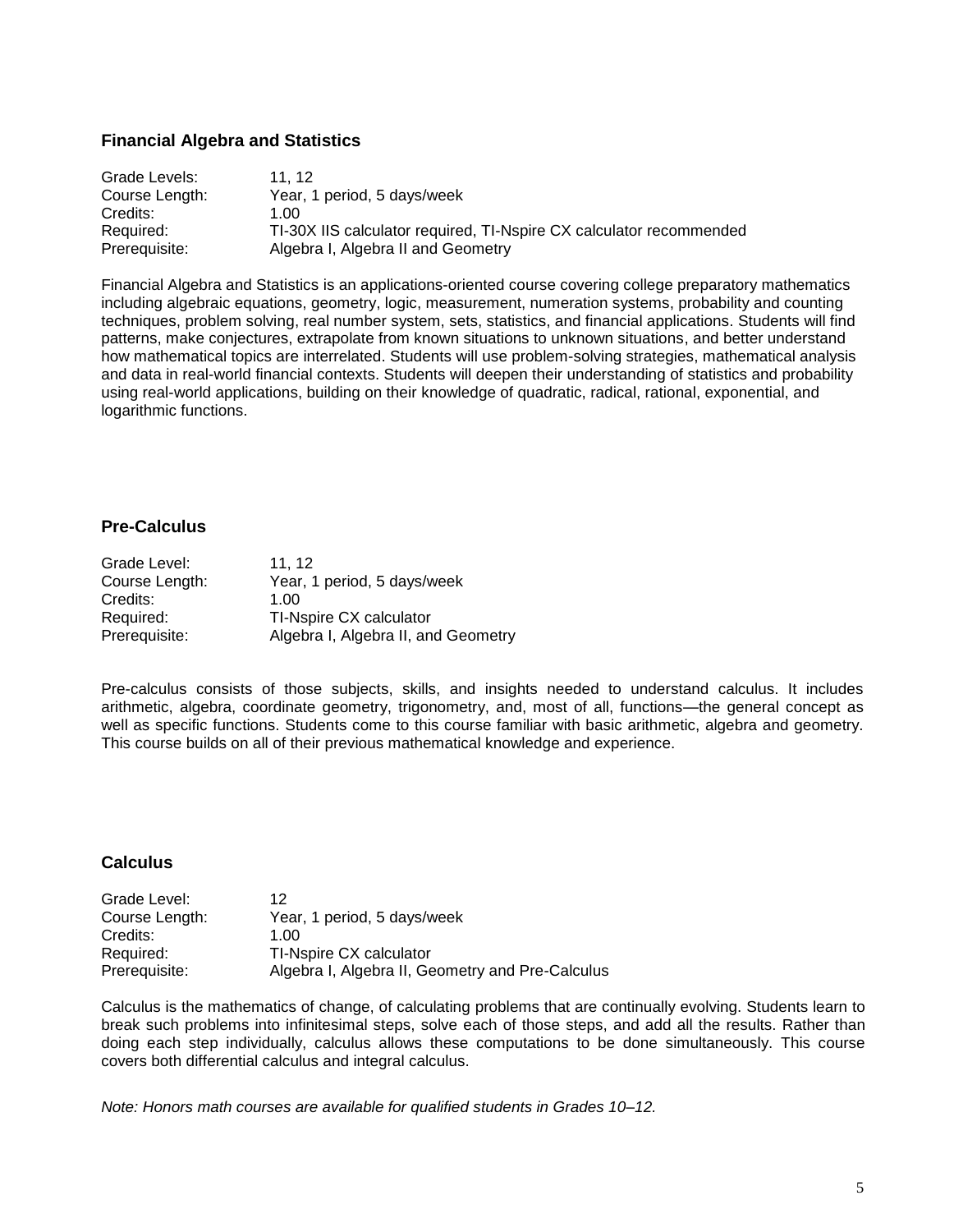## **Financial Algebra and Statistics**

| Grade Levels:  | 11.12                                                               |
|----------------|---------------------------------------------------------------------|
| Course Length: | Year, 1 period, 5 days/week                                         |
| Credits:       | 1.00                                                                |
| Required:      | TI-30X IIS calculator required, TI-Nspire CX calculator recommended |
| Prerequisite:  | Algebra I, Algebra II and Geometry                                  |

Financial Algebra and Statistics is an applications-oriented course covering college preparatory mathematics including algebraic equations, geometry, logic, measurement, numeration systems, probability and counting techniques, problem solving, real number system, sets, statistics, and financial applications. Students will find patterns, make conjectures, extrapolate from known situations to unknown situations, and better understand how mathematical topics are interrelated. Students will use problem-solving strategies, mathematical analysis and data in real-world financial contexts. Students will deepen their understanding of statistics and probability using real-world applications, building on their knowledge of quadratic, radical, rational, exponential, and logarithmic functions.

## **Pre-Calculus**

| Grade Level:   | 11.12                               |
|----------------|-------------------------------------|
| Course Length: | Year, 1 period, 5 days/week         |
| Credits:       | 1.00                                |
| Required:      | TI-Nspire CX calculator             |
| Prerequisite:  | Algebra I, Algebra II, and Geometry |

Pre-calculus consists of those subjects, skills, and insights needed to understand calculus. It includes arithmetic, algebra, coordinate geometry, trigonometry, and, most of all, functions—the general concept as well as specific functions. Students come to this course familiar with basic arithmetic, algebra and geometry. This course builds on all of their previous mathematical knowledge and experience.

#### **Calculus**

| Grade Level:   | 12                                               |
|----------------|--------------------------------------------------|
| Course Length: | Year, 1 period, 5 days/week                      |
| Credits:       | 1 NO                                             |
| Required:      | TI-Nspire CX calculator                          |
| Prerequisite:  | Algebra I, Algebra II, Geometry and Pre-Calculus |

Calculus is the mathematics of change, of calculating problems that are continually evolving. Students learn to break such problems into infinitesimal steps, solve each of those steps, and add all the results. Rather than doing each step individually, calculus allows these computations to be done simultaneously. This course covers both differential calculus and integral calculus.

*Note: Honors math courses are available for qualified students in Grades 10–12.*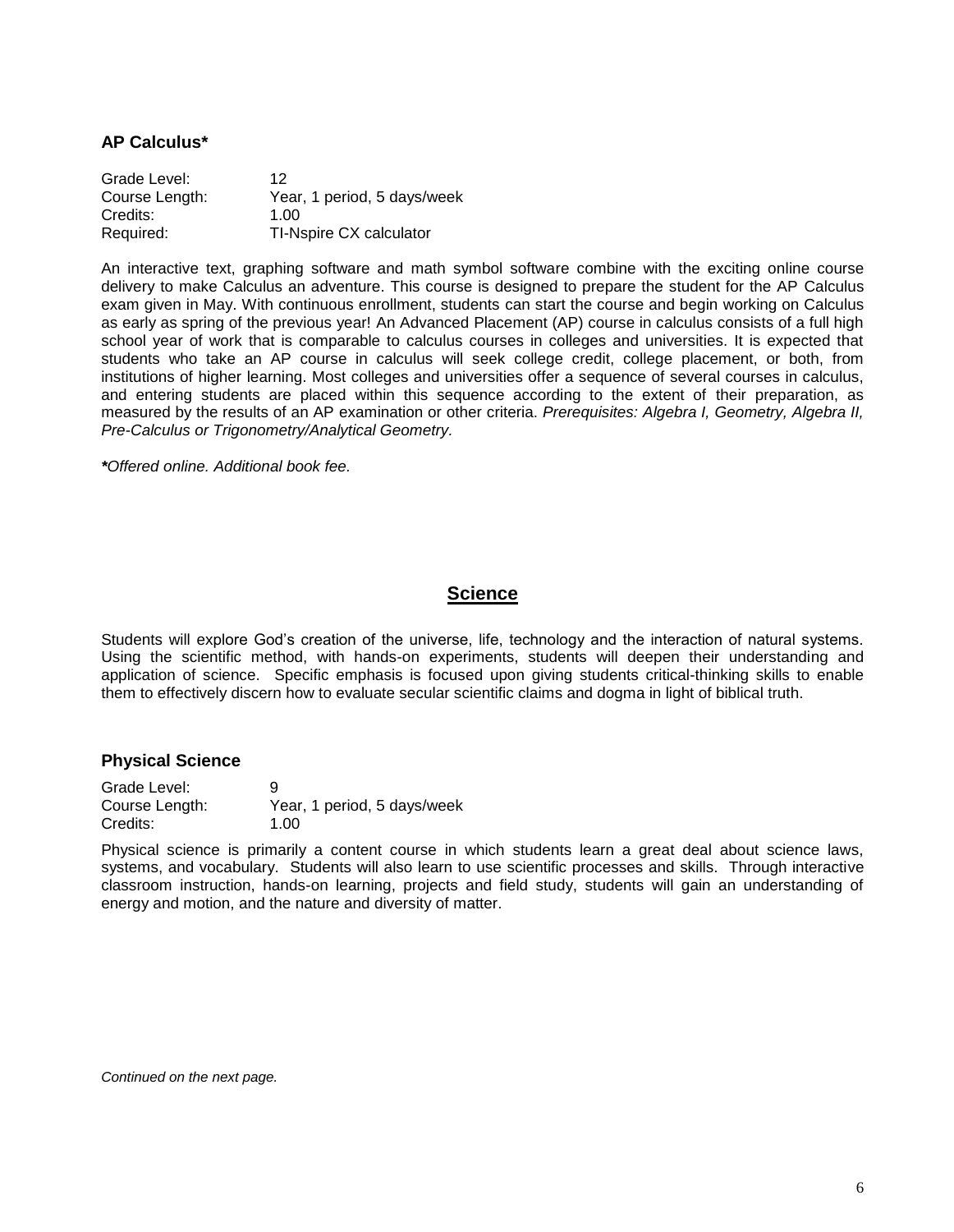#### **AP Calculus\***

| Grade Level:   | 12                          |
|----------------|-----------------------------|
| Course Length: | Year, 1 period, 5 days/week |
| Credits:       | 1.00                        |
| Required:      | TI-Nspire CX calculator     |

An interactive text, graphing software and math symbol software combine with the exciting online course delivery to make Calculus an adventure. This course is designed to prepare the student for the AP Calculus exam given in May. With continuous enrollment, students can start the course and begin working on Calculus as early as spring of the previous year! An Advanced Placement (AP) course in calculus consists of a full high school year of work that is comparable to calculus courses in colleges and universities. It is expected that students who take an AP course in calculus will seek college credit, college placement, or both, from institutions of higher learning. Most colleges and universities offer a sequence of several courses in calculus, and entering students are placed within this sequence according to the extent of their preparation, as measured by the results of an AP examination or other criteria. *Prerequisites: Algebra I, Geometry, Algebra II, Pre-Calculus or Trigonometry/Analytical Geometry.* 

*\*Offered online. Additional book fee.*

## **Science**

Students will explore God's creation of the universe, life, technology and the interaction of natural systems. Using the scientific method, with hands-on experiments, students will deepen their understanding and application of science. Specific emphasis is focused upon giving students critical-thinking skills to enable them to effectively discern how to evaluate secular scientific claims and dogma in light of biblical truth.

#### **Physical Science**

| Grade Level:   | g                           |
|----------------|-----------------------------|
| Course Length: | Year, 1 period, 5 days/week |
| Credits:       | 1.00                        |

Physical science is primarily a content course in which students learn a great deal about science laws, systems, and vocabulary. Students will also learn to use scientific processes and skills. Through interactive classroom instruction, hands-on learning, projects and field study, students will gain an understanding of energy and motion, and the nature and diversity of matter.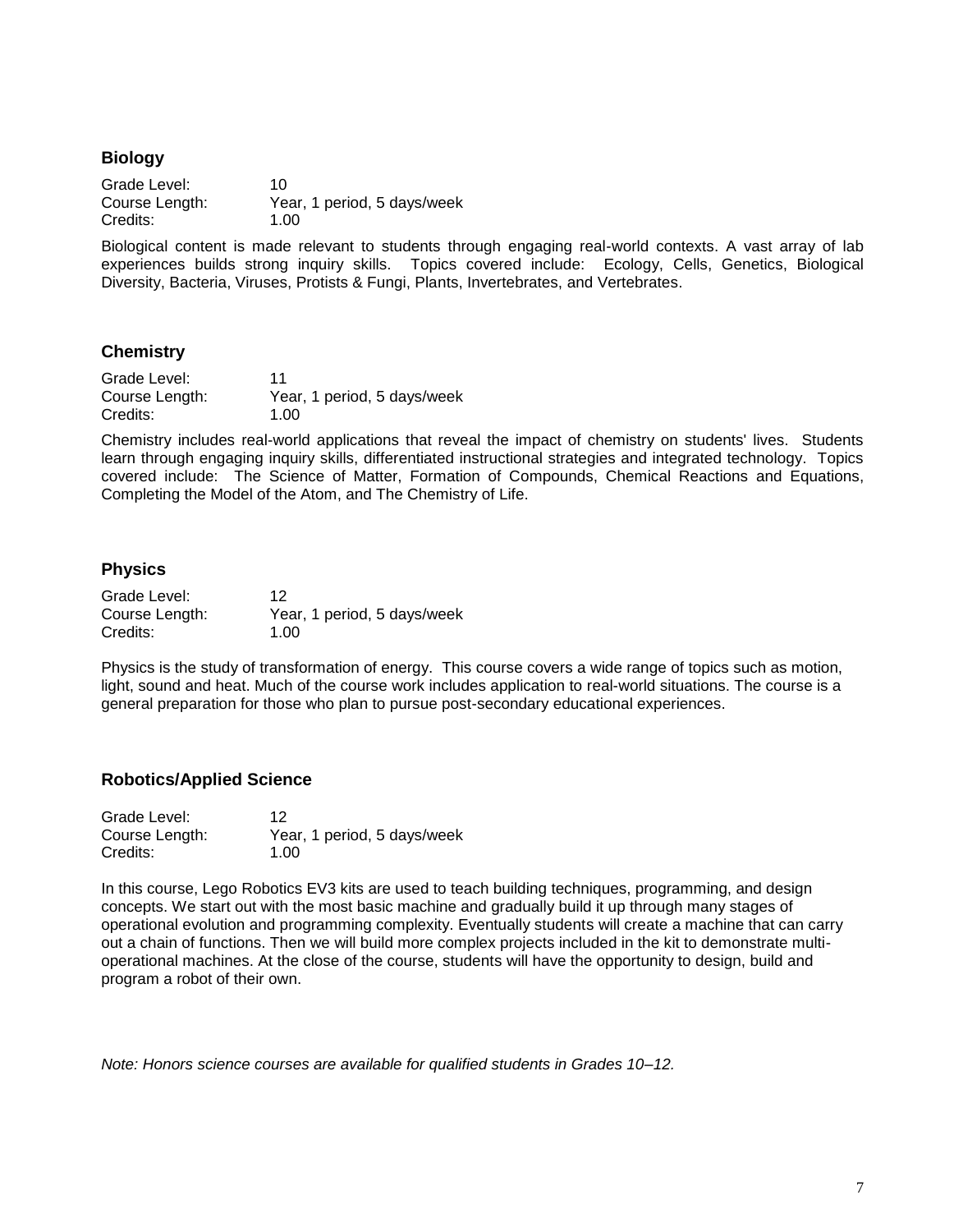#### **Biology**

| Grade Level:   | 10                          |
|----------------|-----------------------------|
| Course Length: | Year, 1 period, 5 days/week |
| Credits:       | 1.00                        |

Biological content is made relevant to students through engaging real-world contexts. A vast array of lab experiences builds strong inquiry skills. Topics covered include: Ecology, Cells, Genetics, Biological Diversity, Bacteria, Viruses, Protists & Fungi, Plants, Invertebrates, and Vertebrates.

## **Chemistry**

| Grade Level:   | 11                          |
|----------------|-----------------------------|
| Course Length: | Year, 1 period, 5 days/week |
| Credits:       | 1.00                        |

Chemistry includes real-world applications that reveal the impact of chemistry on students' lives. Students learn through engaging inquiry skills, differentiated instructional strategies and integrated technology. Topics covered include: The Science of Matter, Formation of Compounds, Chemical Reactions and Equations, Completing the Model of the Atom, and The Chemistry of Life.

## **Physics**

| Grade Level:   | 12                          |
|----------------|-----------------------------|
| Course Length: | Year, 1 period, 5 days/week |
| Credits:       | 1.00                        |

Physics is the study of transformation of energy. This course covers a wide range of topics such as motion, light, sound and heat. Much of the course work includes application to real-world situations. The course is a general preparation for those who plan to pursue post-secondary educational experiences.

#### **Robotics/Applied Science**

| Grade Level:   | 12                          |
|----------------|-----------------------------|
| Course Length: | Year, 1 period, 5 days/week |
| Credits:       | 1.00                        |

In this course, Lego Robotics EV3 kits are used to teach building techniques, programming, and design concepts. We start out with the most basic machine and gradually build it up through many stages of operational evolution and programming complexity. Eventually students will create a machine that can carry out a chain of functions. Then we will build more complex projects included in the kit to demonstrate multioperational machines. At the close of the course, students will have the opportunity to design, build and program a robot of their own.

*Note: Honors science courses are available for qualified students in Grades 10–12.*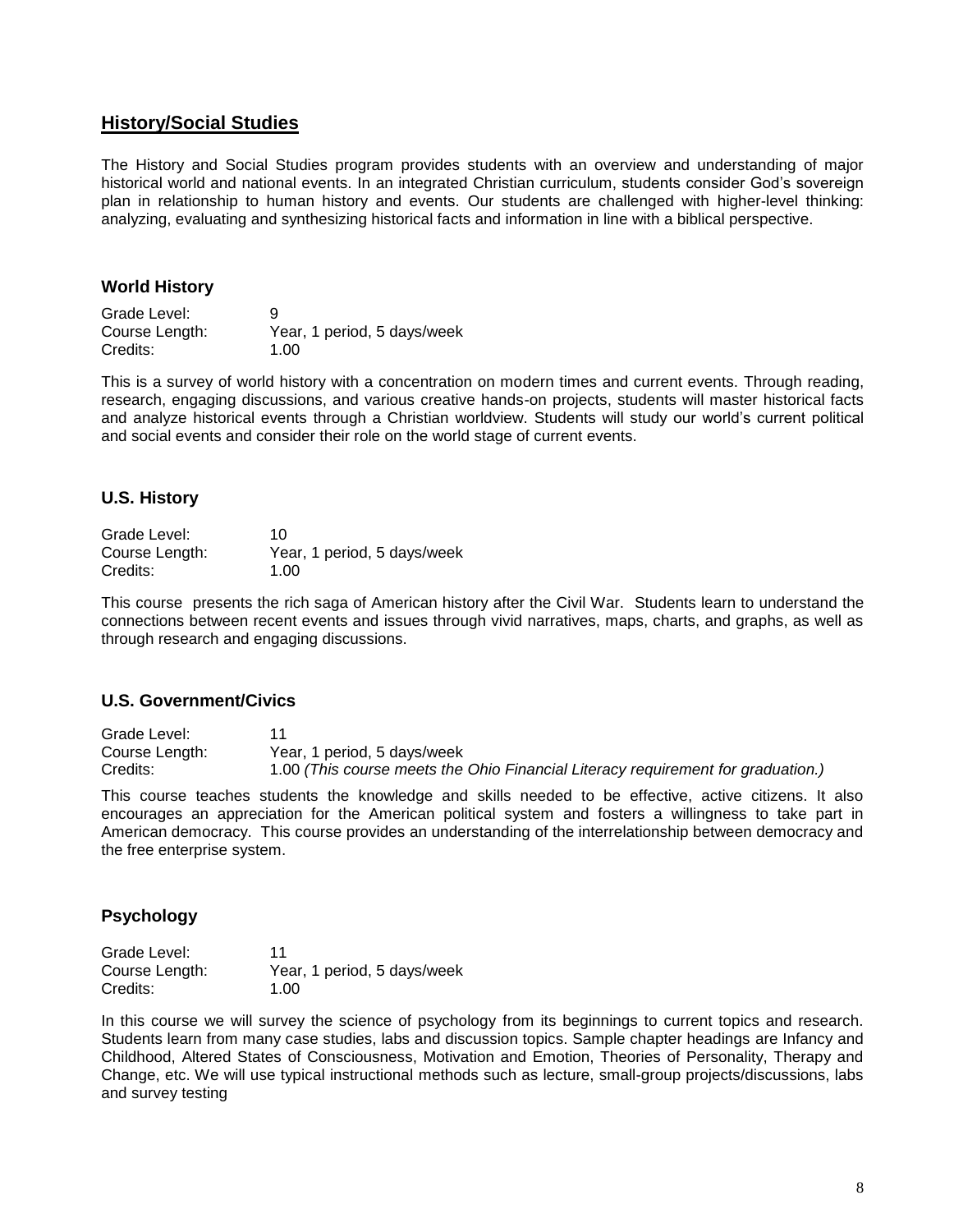## **History/Social Studies**

The History and Social Studies program provides students with an overview and understanding of major historical world and national events. In an integrated Christian curriculum, students consider God's sovereign plan in relationship to human history and events. Our students are challenged with higher-level thinking: analyzing, evaluating and synthesizing historical facts and information in line with a biblical perspective.

#### **World History**

Grade Level: 9 Course Length: Year, 1 period, 5 days/week Credits: 1.00

This is a survey of world history with a concentration on modern times and current events. Through reading, research, engaging discussions, and various creative hands-on projects, students will master historical facts and analyze historical events through a Christian worldview. Students will study our world's current political and social events and consider their role on the world stage of current events.

## **U.S. History**

| Grade Level:   | 10                          |
|----------------|-----------------------------|
| Course Length: | Year, 1 period, 5 days/week |
| Credits:       | 1.00                        |

This coursepresents the rich saga of American history after the Civil War. Students learn to understand the connections between recent events and issues through vivid narratives, maps, charts, and graphs, as well as through research and engaging discussions.

#### **U.S. Government/Civics**

| Grade Level:   |                                                                                  |
|----------------|----------------------------------------------------------------------------------|
| Course Length: | Year, 1 period, 5 days/week                                                      |
| Credits:       | 1.00 (This course meets the Ohio Financial Literacy requirement for graduation.) |

This course teaches students the knowledge and skills needed to be effective, active citizens. It also encourages an appreciation for the American political system and fosters a willingness to take part in American democracy. This course provides an understanding of the interrelationship between democracy and the free enterprise system.

## **Psychology**

| Grade Level:   | 11                          |
|----------------|-----------------------------|
| Course Length: | Year, 1 period, 5 days/week |
| Credits:       | 1.00                        |

In this course we will survey the science of psychology from its beginnings to current topics and research. Students learn from many case studies, labs and discussion topics. Sample chapter headings are Infancy and Childhood, Altered States of Consciousness, Motivation and Emotion, Theories of Personality, Therapy and Change, etc. We will use typical instructional methods such as lecture, small-group projects/discussions, labs and survey testing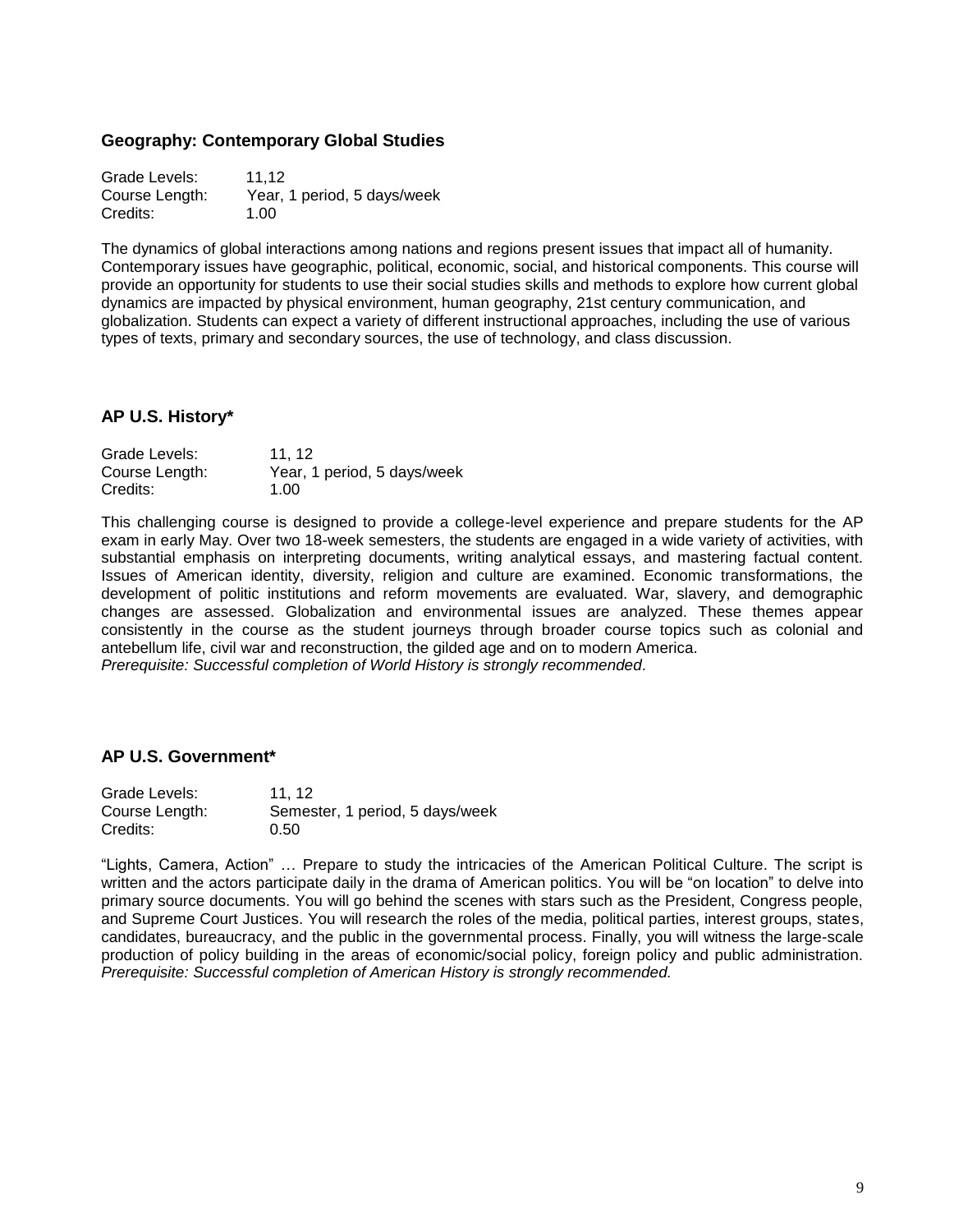#### **Geography: Contemporary Global Studies**

Grade Levels: 11.12 Course Length: Year, 1 period, 5 days/week Credits: 1.00

The dynamics of global interactions among nations and regions present issues that impact all of humanity. Contemporary issues have geographic, political, economic, social, and historical components. This course will provide an opportunity for students to use their social studies skills and methods to explore how current global dynamics are impacted by physical environment, human geography, 21st century communication, and globalization. Students can expect a variety of different instructional approaches, including the use of various types of texts, primary and secondary sources, the use of technology, and class discussion.

## **AP U.S. History\***

| Grade Levels:  | 11.12                       |
|----------------|-----------------------------|
| Course Length: | Year, 1 period, 5 days/week |
| Credits:       | 1.00                        |

This challenging course is designed to provide a college-level experience and prepare students for the AP exam in early May. Over two 18-week semesters, the students are engaged in a wide variety of activities, with substantial emphasis on interpreting documents, writing analytical essays, and mastering factual content. Issues of American identity, diversity, religion and culture are examined. Economic transformations, the development of politic institutions and reform movements are evaluated. War, slavery, and demographic changes are assessed. Globalization and environmental issues are analyzed. These themes appear consistently in the course as the student journeys through broader course topics such as colonial and antebellum life, civil war and reconstruction, the gilded age and on to modern America. *Prerequisite: Successful completion of World History is strongly recommended.*

#### **AP U.S. Government\***

| Grade Levels:  | 11.12                           |
|----------------|---------------------------------|
| Course Length: | Semester, 1 period, 5 days/week |
| Credits:       | 0.50                            |

"Lights, Camera, Action" … Prepare to study the intricacies of the American Political Culture. The script is written and the actors participate daily in the drama of American politics. You will be "on location" to delve into primary source documents. You will go behind the scenes with stars such as the President, Congress people, and Supreme Court Justices. You will research the roles of the media, political parties, interest groups, states, candidates, bureaucracy, and the public in the governmental process. Finally, you will witness the large-scale production of policy building in the areas of economic/social policy, foreign policy and public administration. *Prerequisite: Successful completion of American History is strongly recommended.*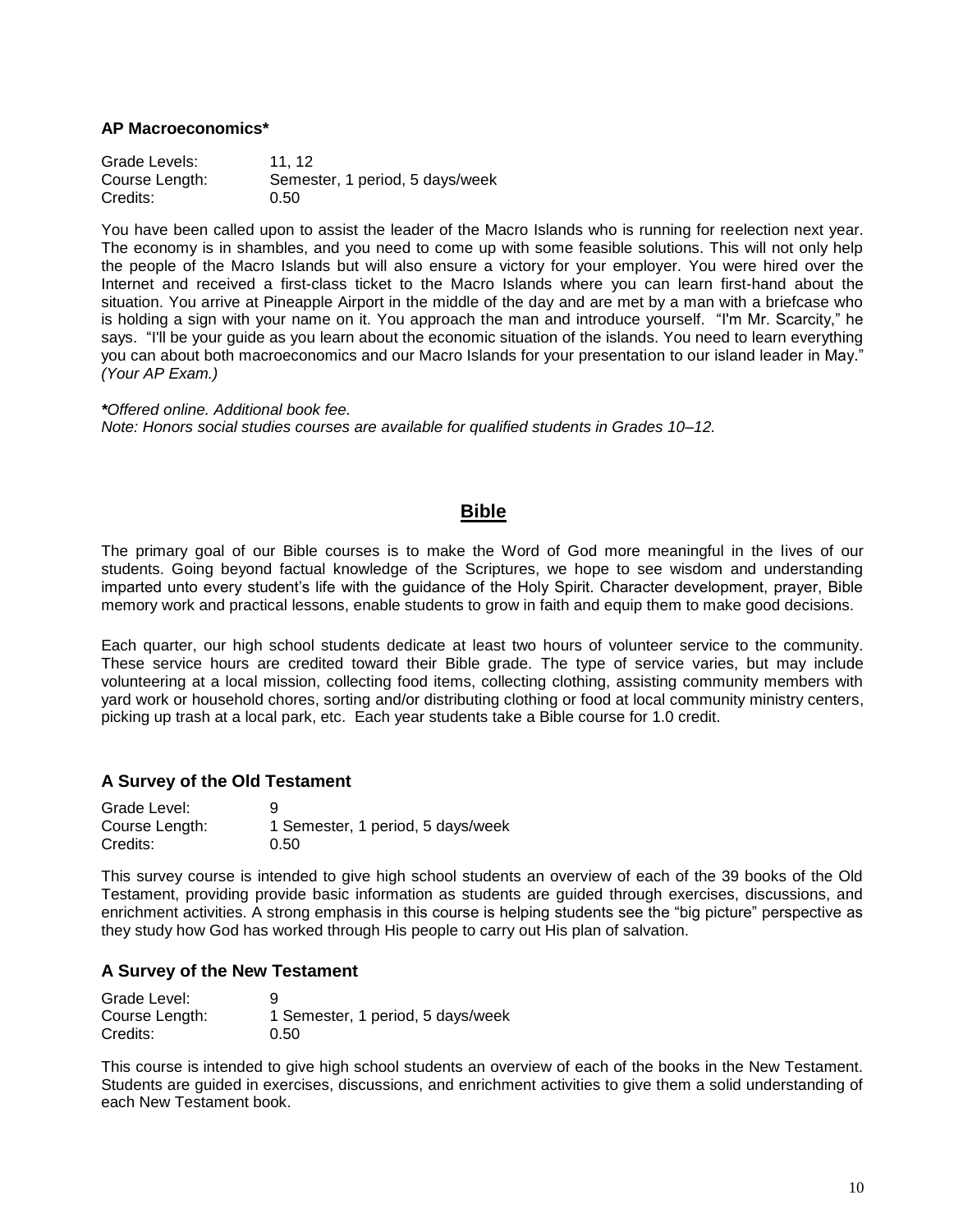#### **AP Macroeconomics\***

Grade Levels: 11, 12 Course Length: Semester, 1 period, 5 days/week Credits: 0.50

You have been called upon to assist the leader of the Macro Islands who is running for reelection next year. The economy is in shambles, and you need to come up with some feasible solutions. This will not only help the people of the Macro Islands but will also ensure a victory for your employer. You were hired over the Internet and received a first-class ticket to the Macro Islands where you can learn first-hand about the situation. You arrive at Pineapple Airport in the middle of the day and are met by a man with a briefcase who is holding a sign with your name on it. You approach the man and introduce yourself. "I'm Mr. Scarcity," he says. "I'll be your guide as you learn about the economic situation of the islands. You need to learn everything you can about both macroeconomics and our Macro Islands for your presentation to our island leader in May." *(Your AP Exam.)*

*\*Offered online. Additional book fee. Note: Honors social studies courses are available for qualified students in Grades 10–12.*

## **Bible**

The primary goal of our Bible courses is to make the Word of God more meaningful in the lives of our students. Going beyond factual knowledge of the Scriptures, we hope to see wisdom and understanding imparted unto every student's life with the guidance of the Holy Spirit. Character development, prayer, Bible memory work and practical lessons, enable students to grow in faith and equip them to make good decisions.

Each quarter, our high school students dedicate at least two hours of volunteer service to the community. These service hours are credited toward their Bible grade. The type of service varies, but may include volunteering at a local mission, collecting food items, collecting clothing, assisting community members with yard work or household chores, sorting and/or distributing clothing or food at local community ministry centers, picking up trash at a local park, etc. Each year students take a Bible course for 1.0 credit.

#### **A Survey of the Old Testament**

| Grade Level:   | 9                                 |
|----------------|-----------------------------------|
| Course Length: | 1 Semester, 1 period, 5 days/week |
| Credits:       | 0.50                              |

This survey course is intended to give high school students an overview of each of the 39 books of the Old Testament, providing provide basic information as students are guided through exercises, discussions, and enrichment activities. A strong emphasis in this course is helping students see the "big picture" perspective as they study how God has worked through His people to carry out His plan of salvation.

#### **A Survey of the New Testament**

| Grade Level:   | 9                                 |
|----------------|-----------------------------------|
| Course Length: | 1 Semester, 1 period, 5 days/week |
| Credits:       | 0.50                              |

This course is intended to give high school students an overview of each of the books in the New Testament. Students are guided in exercises, discussions, and enrichment activities to give them a solid understanding of each New Testament book.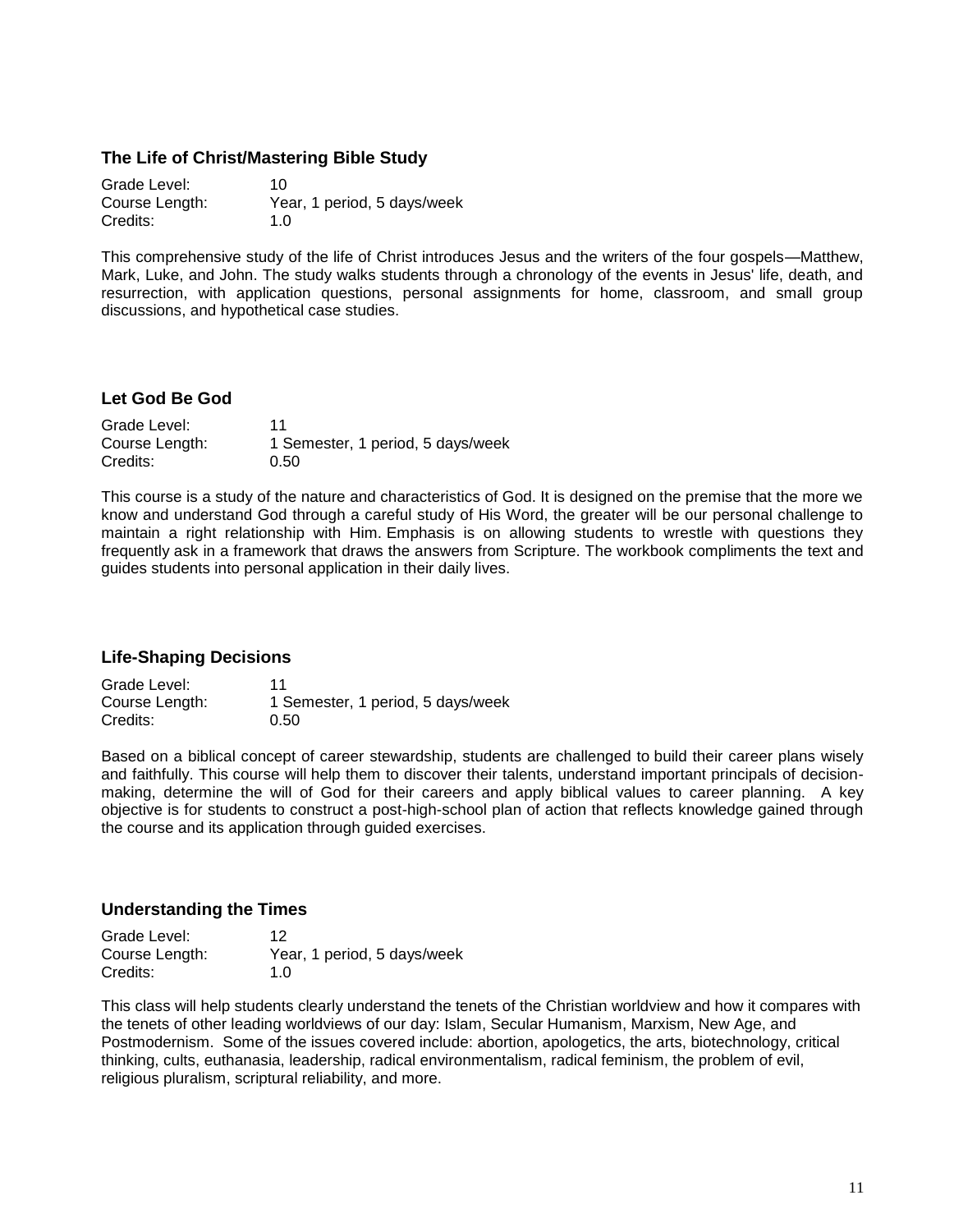#### **The Life of Christ/Mastering Bible Study**

| Grade Level:   | 10                          |
|----------------|-----------------------------|
| Course Length: | Year, 1 period, 5 days/week |
| Credits:       | 1.0                         |

This comprehensive study of the life of Christ introduces Jesus and the writers of the four gospels—Matthew, Mark, Luke, and John. The study walks students through a chronology of the events in Jesus' life, death, and resurrection, with application questions, personal assignments for home, classroom, and small group discussions, and hypothetical case studies.

#### **Let God Be God**

| Grade Level:   | 11                                |
|----------------|-----------------------------------|
| Course Length: | 1 Semester, 1 period, 5 days/week |
| Credits:       | 0.50                              |

This course is a study of the nature and characteristics of God. It is designed on the premise that the more we know and understand God through a careful study of His Word, the greater will be our personal challenge to maintain a right relationship with Him. Emphasis is on allowing students to wrestle with questions they frequently ask in a framework that draws the answers from Scripture. The workbook compliments the text and guides students into personal application in their daily lives.

#### **Life-Shaping Decisions**

| Grade Level:   | 11                                |
|----------------|-----------------------------------|
| Course Length: | 1 Semester, 1 period, 5 days/week |
| Credits:       | 0.50                              |

Based on a biblical concept of career stewardship, students are challenged to build their career plans wisely and faithfully. This course will help them to discover their talents, understand important principals of decisionmaking, determine the will of God for their careers and apply biblical values to career planning. A key objective is for students to construct a post-high-school plan of action that reflects knowledge gained through the course and its application through guided exercises.

#### **Understanding the Times**

| Grade Level:   | 12                          |
|----------------|-----------------------------|
| Course Length: | Year, 1 period, 5 days/week |
| Credits:       | 1.0                         |

This class will help students clearly understand the tenets of the Christian worldview and how it compares with the tenets of other leading worldviews of our day: Islam, Secular Humanism, Marxism, New Age, and Postmodernism. Some of the issues covered include: abortion, apologetics, the arts, biotechnology, critical thinking, cults, euthanasia, leadership, radical environmentalism, radical feminism, the problem of evil, religious pluralism, scriptural reliability, and more.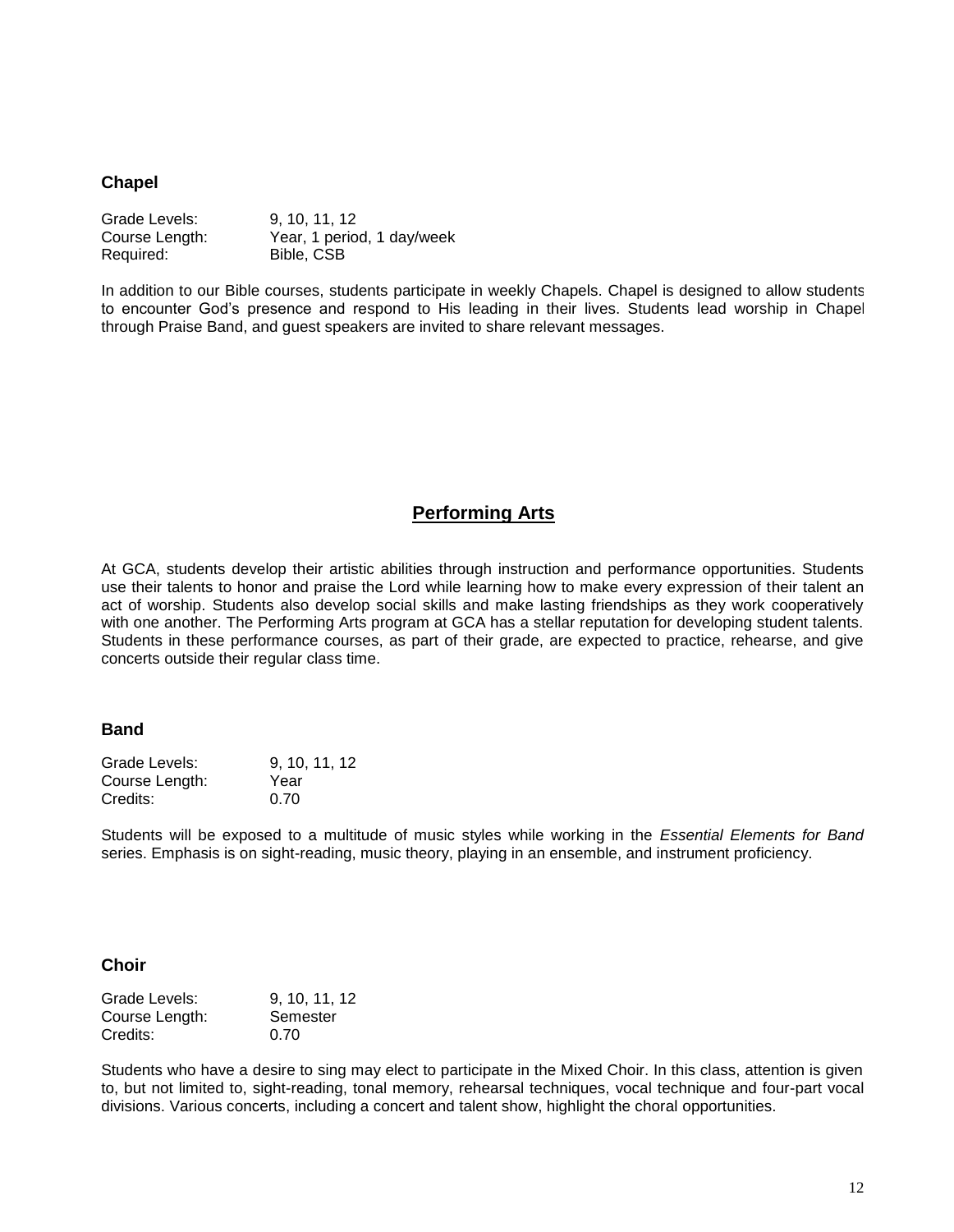#### **Chapel**

| Grade Levels:  | 9, 10, 11, 12              |
|----------------|----------------------------|
| Course Length: | Year, 1 period, 1 day/week |
| Required:      | Bible, CSB                 |

In addition to our Bible courses, students participate in weekly Chapels. Chapel is designed to allow students to encounter God's presence and respond to His leading in their lives. Students lead worship in Chapel through Praise Band, and guest speakers are invited to share relevant messages.

## **Performing Arts**

At GCA, students develop their artistic abilities through instruction and performance opportunities. Students use their talents to honor and praise the Lord while learning how to make every expression of their talent an act of worship. Students also develop social skills and make lasting friendships as they work cooperatively with one another. The Performing Arts program at GCA has a stellar reputation for developing student talents. Students in these performance courses, as part of their grade, are expected to practice, rehearse, and give concerts outside their regular class time.

#### **Band**

| Grade Levels:  | 9, 10, 11, 12 |
|----------------|---------------|
| Course Length: | Year          |
| Credits:       | 0.70          |

Students will be exposed to a multitude of music styles while working in the *Essential Elements for Band* series. Emphasis is on sight-reading, music theory, playing in an ensemble, and instrument proficiency.

#### **Choir**

| Grade Levels:  | 9, 10, 11, 12 |
|----------------|---------------|
| Course Length: | Semester      |
| Credits:       | 0.70          |

Students who have a desire to sing may elect to participate in the Mixed Choir. In this class, attention is given to, but not limited to, sight-reading, tonal memory, rehearsal techniques, vocal technique and four-part vocal divisions. Various concerts, including a concert and talent show, highlight the choral opportunities.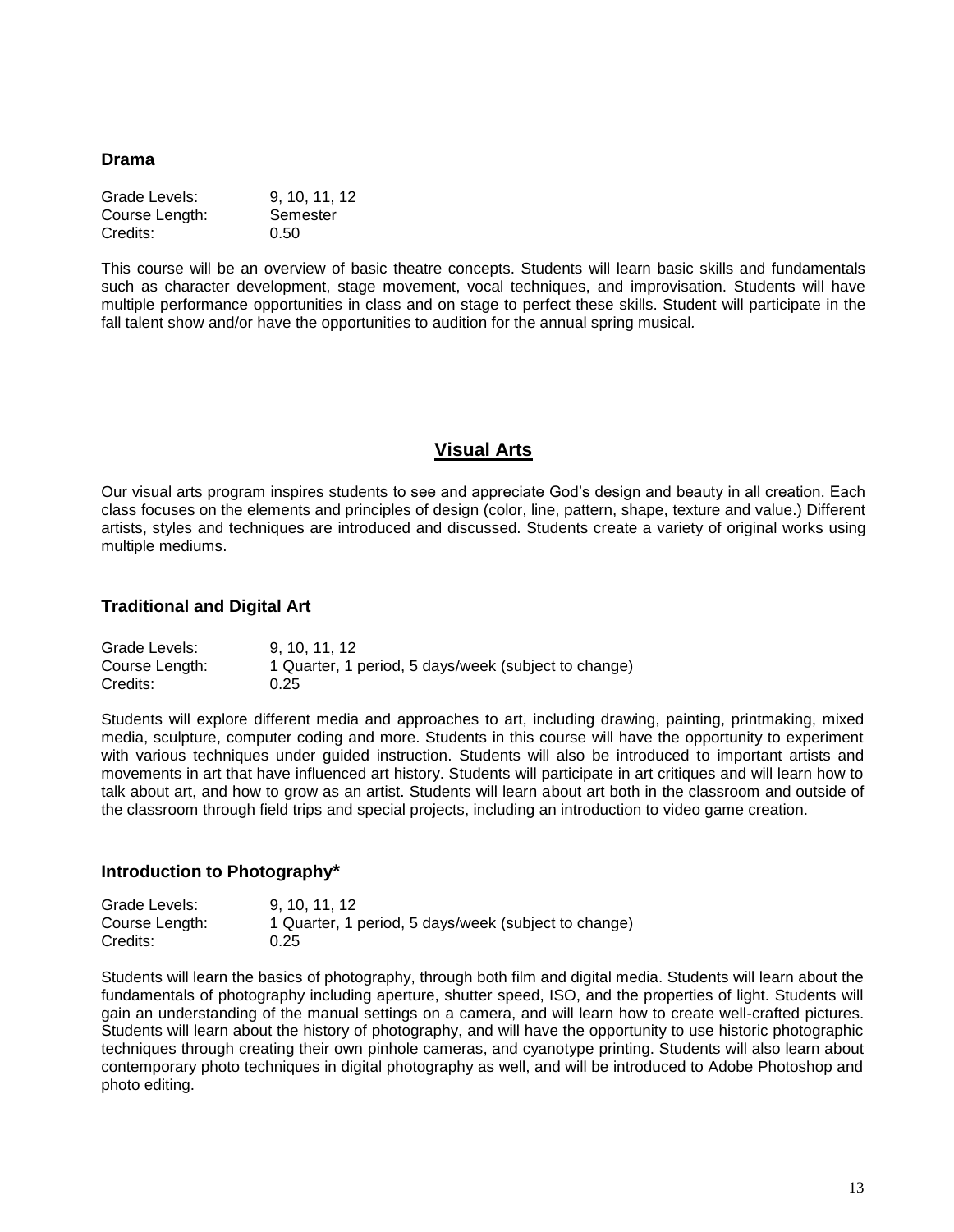#### **Drama**

| Grade Levels:  | 9, 10, 11, 12 |
|----------------|---------------|
| Course Length: | Semester      |
| Credits:       | 0.50          |

This course will be an overview of basic theatre concepts. Students will learn basic skills and fundamentals such as character development, stage movement, vocal techniques, and improvisation. Students will have multiple performance opportunities in class and on stage to perfect these skills. Student will participate in the fall talent show and/or have the opportunities to audition for the annual spring musical*.*

# **Visual Arts**

Our visual arts program inspires students to see and appreciate God's design and beauty in all creation. Each class focuses on the elements and principles of design (color, line, pattern, shape, texture and value.) Different artists, styles and techniques are introduced and discussed. Students create a variety of original works using multiple mediums.

#### **Traditional and Digital Art**

| Grade Levels:  | 9.10.11.12                                           |
|----------------|------------------------------------------------------|
| Course Length: | 1 Quarter, 1 period, 5 days/week (subject to change) |
| Credits:       | 0.25                                                 |

Students will explore different media and approaches to art, including drawing, painting, printmaking, mixed media, sculpture, computer coding and more. Students in this course will have the opportunity to experiment with various techniques under guided instruction. Students will also be introduced to important artists and movements in art that have influenced art history. Students will participate in art critiques and will learn how to talk about art, and how to grow as an artist. Students will learn about art both in the classroom and outside of the classroom through field trips and special projects, including an introduction to video game creation.

#### **Introduction to Photography\***

| Grade Levels:  | 9.10.11.12                                           |
|----------------|------------------------------------------------------|
| Course Length: | 1 Quarter, 1 period, 5 days/week (subject to change) |
| Credits:       | 0.25                                                 |

Students will learn the basics of photography, through both film and digital media. Students will learn about the fundamentals of photography including aperture, shutter speed, ISO, and the properties of light. Students will gain an understanding of the manual settings on a camera, and will learn how to create well-crafted pictures. Students will learn about the history of photography, and will have the opportunity to use historic photographic techniques through creating their own pinhole cameras, and cyanotype printing. Students will also learn about contemporary photo techniques in digital photography as well, and will be introduced to Adobe Photoshop and photo editing.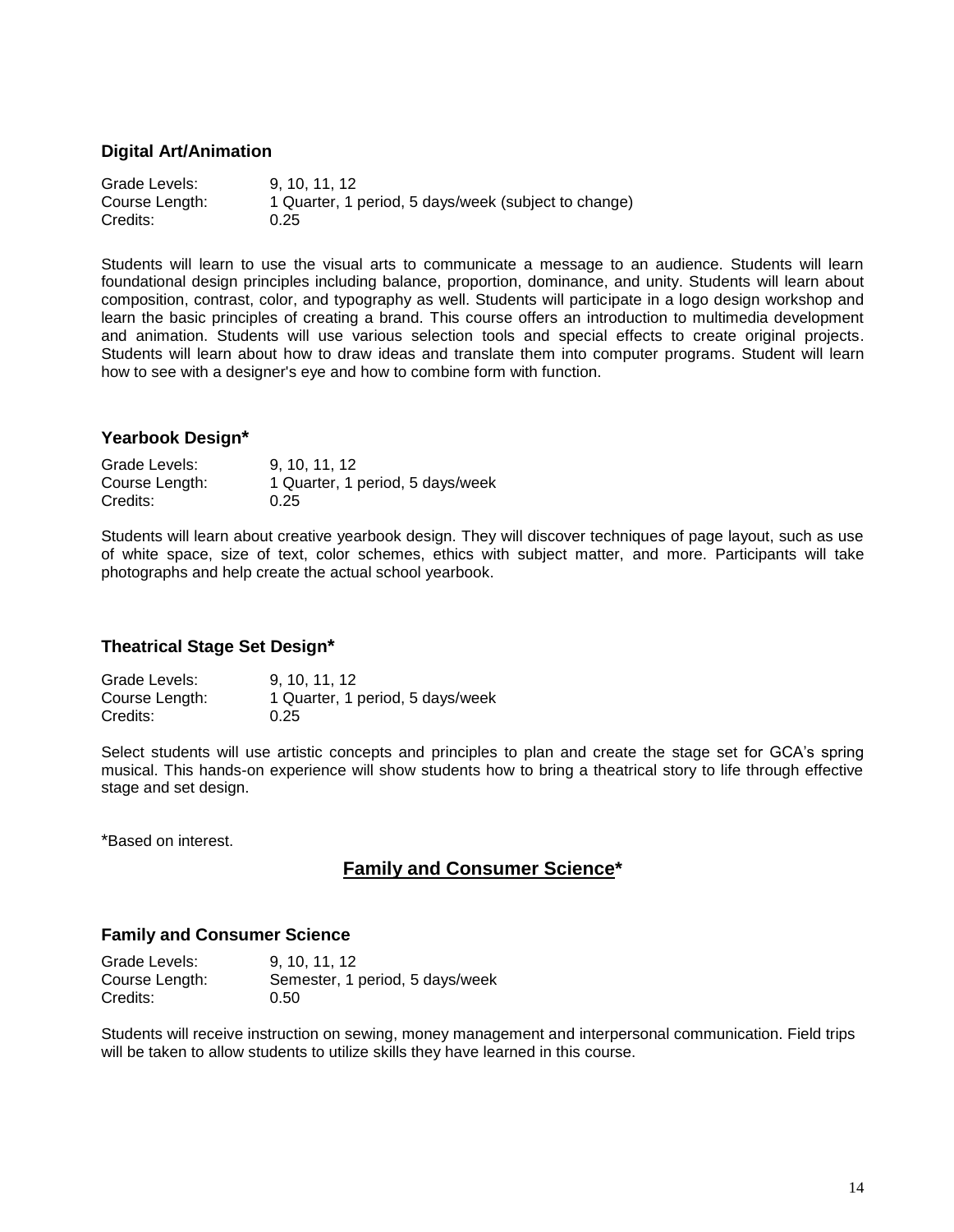#### **Digital Art/Animation**

Grade Levels: 9, 10, 11, 12 Course Length: 1 Quarter, 1 period, 5 days/week (subject to change) Credits: 0.25

Students will learn to use the visual arts to communicate a message to an audience. Students will learn foundational design principles including balance, proportion, dominance, and unity. Students will learn about composition, contrast, color, and typography as well. Students will participate in a logo design workshop and learn the basic principles of creating a brand. This course offers an introduction to multimedia development and animation. Students will use various selection tools and special effects to create original projects. Students will learn about how to draw ideas and translate them into computer programs. Student will learn how to see with a designer's eye and how to combine form with function.

#### **Yearbook Design\***

Grade Levels: 9, 10, 11, 12 Course Length: 1 Quarter, 1 period, 5 days/week Credits: 0.25

Students will learn about creative yearbook design. They will discover techniques of page layout, such as use of white space, size of text, color schemes, ethics with subject matter, and more. Participants will take photographs and help create the actual school yearbook.

#### **Theatrical Stage Set Design\***

Grade Levels: 9, 10, 11, 12 Course Length: 1 Quarter, 1 period, 5 days/week Credits: 0.25

Select students will use artistic concepts and principles to plan and create the stage set for GCA's spring musical. This hands-on experience will show students how to bring a theatrical story to life through effective stage and set design.

\*Based on interest.

# **Family and Consumer Science\***

#### **Family and Consumer Science**

| Grade Levels:  | 9, 10, 11, 12                   |
|----------------|---------------------------------|
| Course Length: | Semester, 1 period, 5 days/week |
| Credits:       | 0.50                            |

Students will receive instruction on sewing, money management and interpersonal communication. Field trips will be taken to allow students to utilize skills they have learned in this course.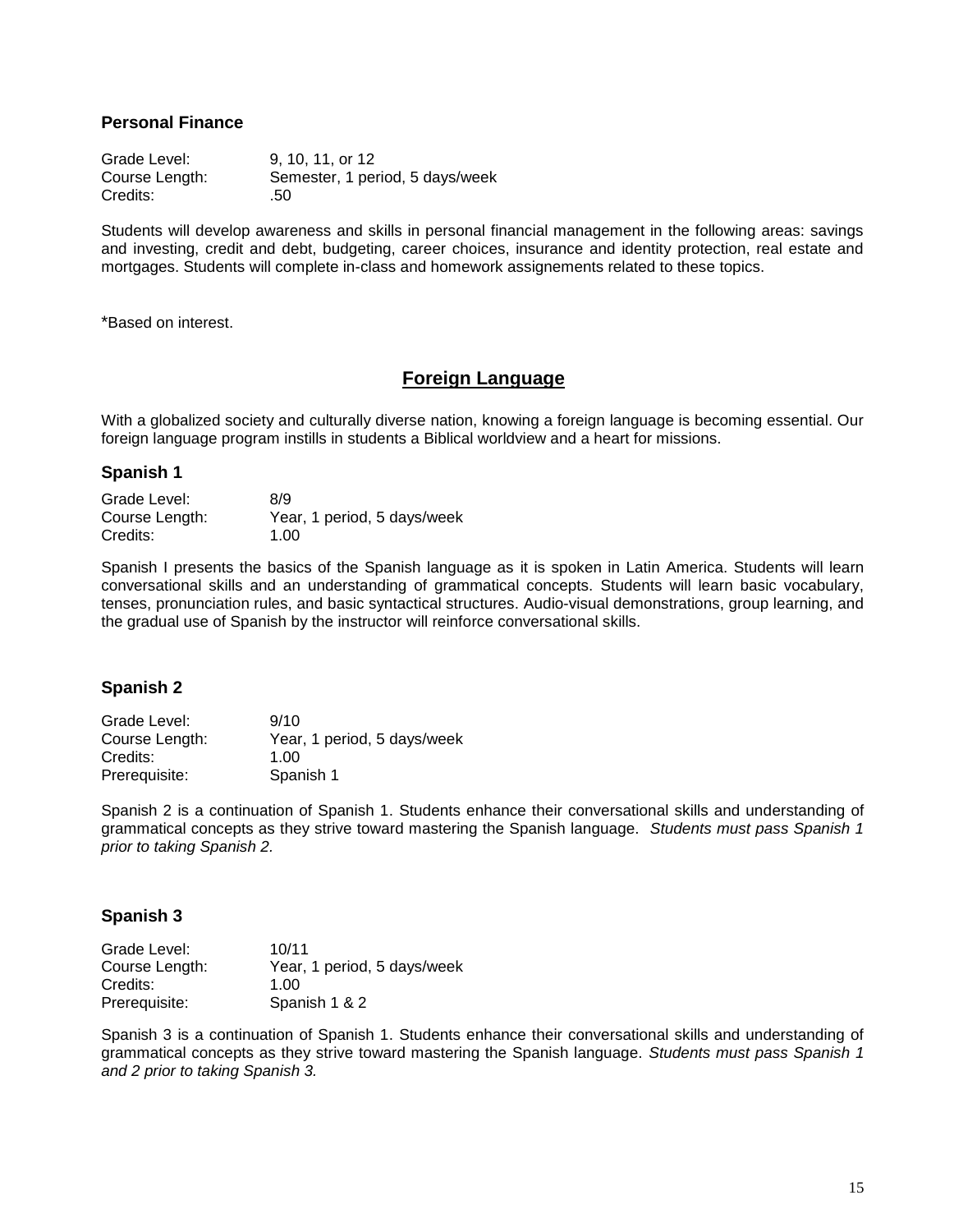#### **Personal Finance**

Grade Level: 9, 10, 11, or 12 Course Length: Semester, 1 period, 5 days/week Credits: .50

Students will develop awareness and skills in personal financial management in the following areas: savings and investing, credit and debt, budgeting, career choices, insurance and identity protection, real estate and mortgages. Students will complete in-class and homework assignements related to these topics.

\*Based on interest.

# **Foreign Language**

With a globalized society and culturally diverse nation, knowing a foreign language is becoming essential. Our foreign language program instills in students a Biblical worldview and a heart for missions.

#### **Spanish 1**

| Grade Level:   | 8/9                         |
|----------------|-----------------------------|
| Course Length: | Year, 1 period, 5 days/week |
| Credits:       | 1.00                        |

Spanish I presents the basics of the Spanish language as it is spoken in Latin America. Students will learn conversational skills and an understanding of grammatical concepts. Students will learn basic vocabulary, tenses, pronunciation rules, and basic syntactical structures. Audio-visual demonstrations, group learning, and the gradual use of Spanish by the instructor will reinforce conversational skills.

#### **Spanish 2**

| Grade Level:   | 9/10                        |
|----------------|-----------------------------|
| Course Length: | Year, 1 period, 5 days/week |
| Credits:       | 1.00                        |
| Prerequisite:  | Spanish 1                   |

Spanish 2 is a continuation of Spanish 1. Students enhance their conversational skills and understanding of grammatical concepts as they strive toward mastering the Spanish language. *Students must pass Spanish 1 prior to taking Spanish 2.*

#### **Spanish 3**

| Grade Level:   | 10/11                       |
|----------------|-----------------------------|
| Course Length: | Year, 1 period, 5 days/week |
| Credits:       | 1.00                        |
| Prerequisite:  | Spanish 1 & 2               |

Spanish 3 is a continuation of Spanish 1. Students enhance their conversational skills and understanding of grammatical concepts as they strive toward mastering the Spanish language. *Students must pass Spanish 1 and 2 prior to taking Spanish 3.*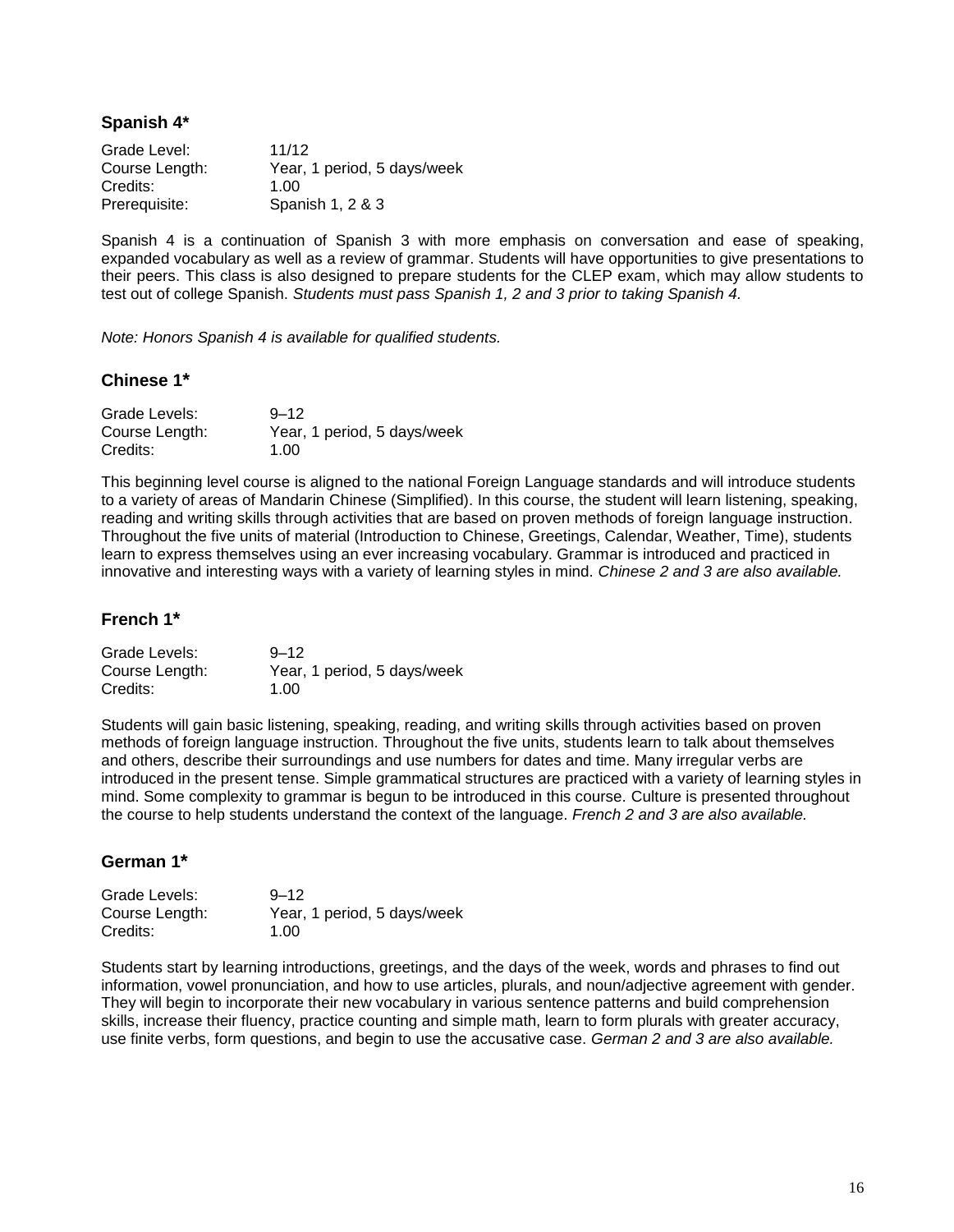**Spanish 4\***

Grade Level: 11/12 Course Length: Year, 1 period, 5 days/week Credits: 1.00 Prerequisite: Spanish 1, 2 & 3

Spanish 4 is a continuation of Spanish 3 with more emphasis on conversation and ease of speaking, expanded vocabulary as well as a review of grammar. Students will have opportunities to give presentations to their peers. This class is also designed to prepare students for the CLEP exam, which may allow students to test out of college Spanish. *Students must pass Spanish 1, 2 and 3 prior to taking Spanish 4.*

*Note: Honors Spanish 4 is available for qualified students.*

#### **Chinese 1\***

| Grade Levels:  | $9 - 12$                    |
|----------------|-----------------------------|
| Course Length: | Year, 1 period, 5 days/week |
| Credits:       | 1.00                        |

This beginning level course is aligned to the national Foreign Language standards and will introduce students to a variety of areas of Mandarin Chinese (Simplified). In this course, the student will learn listening, speaking, reading and writing skills through activities that are based on proven methods of foreign language instruction. Throughout the five units of material (Introduction to Chinese, Greetings, Calendar, Weather, Time), students learn to express themselves using an ever increasing vocabulary. Grammar is introduced and practiced in innovative and interesting ways with a variety of learning styles in mind. *Chinese 2 and 3 are also available.*

#### **French 1\***

| Grade Levels:  | $9 - 12$                    |
|----------------|-----------------------------|
| Course Length: | Year, 1 period, 5 days/week |
| Credits:       | 1.00                        |

Students will gain basic listening, speaking, reading, and writing skills through activities based on proven methods of foreign language instruction. Throughout the five units, students learn to talk about themselves and others, describe their surroundings and use numbers for dates and time. Many irregular verbs are introduced in the present tense. Simple grammatical structures are practiced with a variety of learning styles in mind. Some complexity to grammar is begun to be introduced in this course. Culture is presented throughout the course to help students understand the context of the language. *French 2 and 3 are also available.*

#### **German 1\***

| Grade Levels:  | $9 - 12$                    |
|----------------|-----------------------------|
| Course Length: | Year, 1 period, 5 days/week |
| Credits:       | 1.00                        |

Students start by learning introductions, greetings, and the days of the week, words and phrases to find out information, vowel pronunciation, and how to use articles, plurals, and noun/adjective agreement with gender. They will begin to incorporate their new vocabulary in various sentence patterns and build comprehension skills, increase their fluency, practice counting and simple math, learn to form plurals with greater accuracy, use finite verbs, form questions, and begin to use the accusative case. *German 2 and 3 are also available.*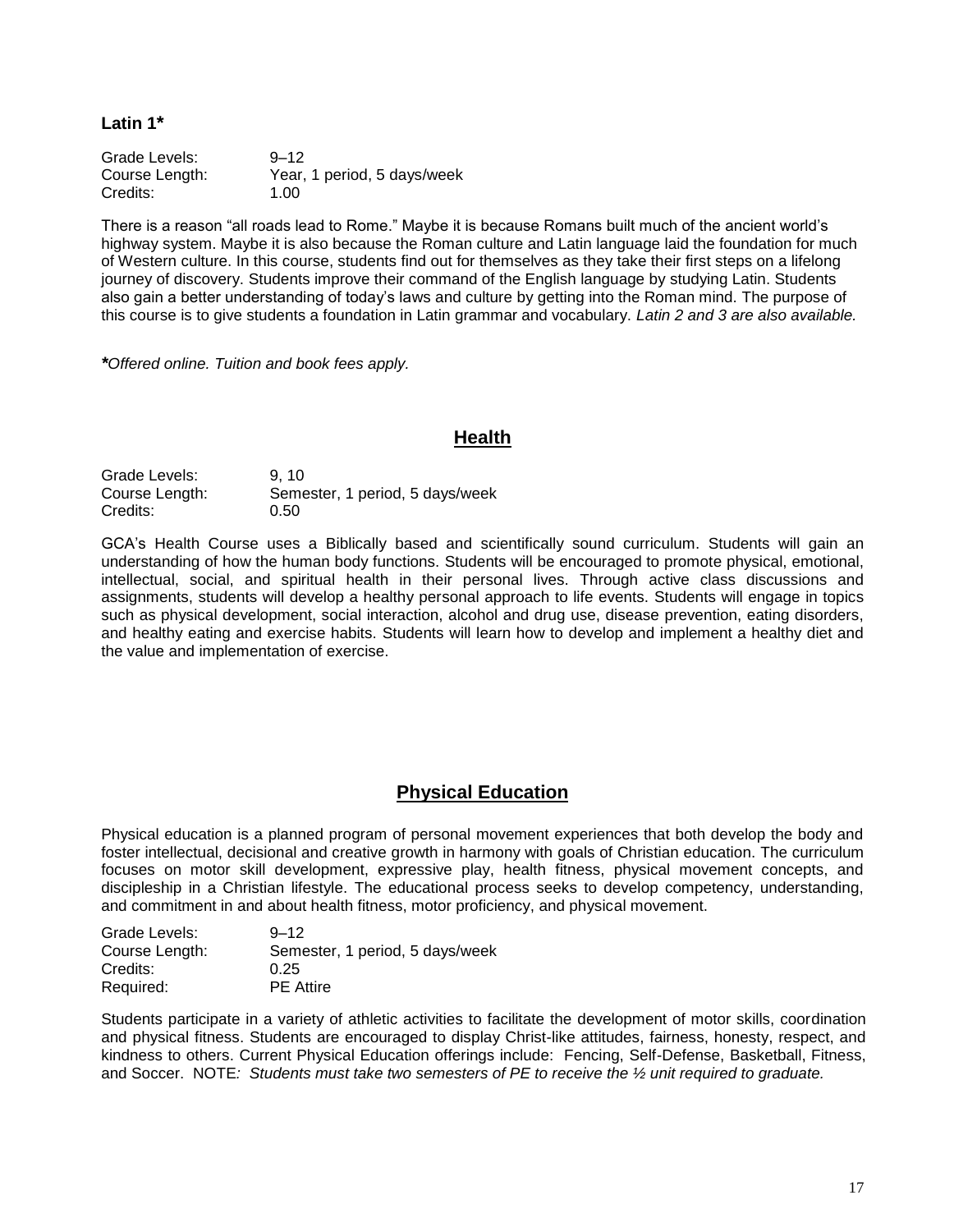**Latin 1\***

Grade Levels: 9–12 Course Length: Year, 1 period, 5 days/week Credits: 1.00

There is a reason "all roads lead to Rome." Maybe it is because Romans built much of the ancient world's highway system. Maybe it is also because the Roman culture and Latin language laid the foundation for much of Western culture. In this course, students find out for themselves as they take their first steps on a lifelong journey of discovery. Students improve their command of the English language by studying Latin. Students also gain a better understanding of today's laws and culture by getting into the Roman mind. The purpose of this course is to give students a foundation in Latin grammar and vocabulary. *Latin 2 and 3 are also available.*

*\*Offered online. Tuition and book fees apply.*

## **Health**

Grade Levels: 9, 10 Course Length: Semester, 1 period, 5 days/week Credits: 0.50

GCA's Health Course uses a Biblically based and scientifically sound curriculum. Students will gain an understanding of how the human body functions. Students will be encouraged to promote physical, emotional, intellectual, social, and spiritual health in their personal lives. Through active class discussions and assignments, students will develop a healthy personal approach to life events. Students will engage in topics such as physical development, social interaction, alcohol and drug use, disease prevention, eating disorders, and healthy eating and exercise habits. Students will learn how to develop and implement a healthy diet and the value and implementation of exercise.

# **Physical Education**

Physical education is a planned program of personal movement experiences that both develop the body and foster intellectual, decisional and creative growth in harmony with goals of Christian education. The curriculum focuses on motor skill development, expressive play, health fitness, physical movement concepts, and discipleship in a Christian lifestyle. The educational process seeks to develop competency, understanding, and commitment in and about health fitness, motor proficiency, and physical movement.

| Grade Levels:  | $9 - 12$                        |
|----------------|---------------------------------|
| Course Length: | Semester, 1 period, 5 days/week |
| Credits:       | 0.25                            |
| Required:      | <b>PE</b> Attire                |

Students participate in a variety of athletic activities to facilitate the development of motor skills, coordination and physical fitness. Students are encouraged to display Christ-like attitudes, fairness, honesty, respect, and kindness to others. Current Physical Education offerings include: Fencing, Self-Defense, Basketball, Fitness, and Soccer. NOTE*: Students must take two semesters of PE to receive the ½ unit required to graduate.*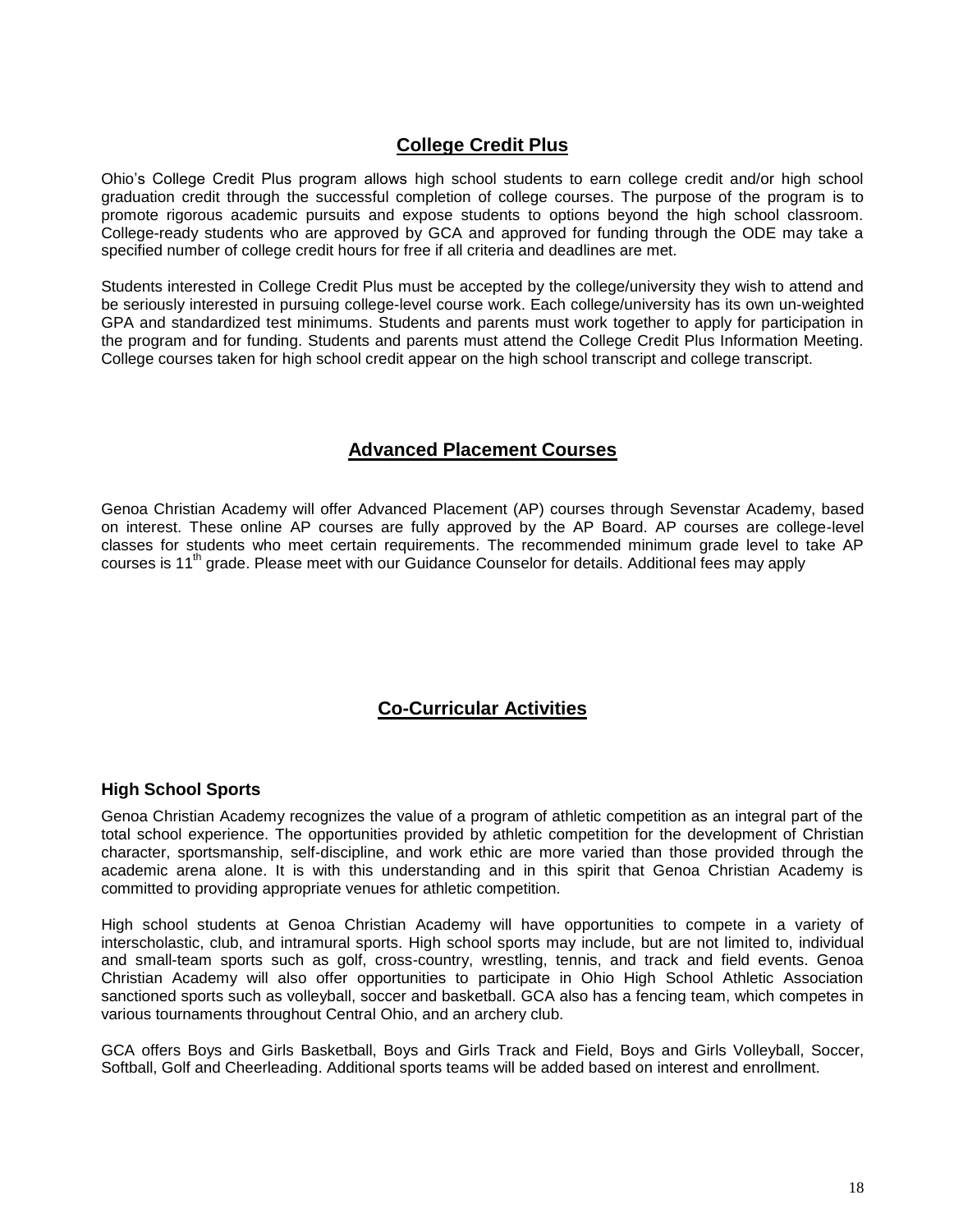# **College Credit Plus**

Ohio's College Credit Plus program allows high school students to earn college credit and/or high school graduation credit through the successful completion of college courses. The purpose of the program is to promote rigorous academic pursuits and expose students to options beyond the high school classroom. College-ready students who are approved by GCA and approved for funding through the ODE may take a specified number of college credit hours for free if all criteria and deadlines are met.

Students interested in College Credit Plus must be accepted by the college/university they wish to attend and be seriously interested in pursuing college-level course work. Each college/university has its own un-weighted GPA and standardized test minimums. Students and parents must work together to apply for participation in the program and for funding. Students and parents must attend the College Credit Plus Information Meeting. College courses taken for high school credit appear on the high school transcript and college transcript.

# **Advanced Placement Courses**

Genoa Christian Academy will offer Advanced Placement (AP) courses through Sevenstar Academy, based on interest. These online AP courses are fully approved by the AP Board. AP courses are college-level classes for students who meet certain requirements. The recommended minimum grade level to take AP courses is 11<sup>th</sup> grade. Please meet with our Guidance Counselor for details. Additional fees may apply

# **Co-Curricular Activities**

#### **High School Sports**

Genoa Christian Academy recognizes the value of a program of athletic competition as an integral part of the total school experience. The opportunities provided by athletic competition for the development of Christian character, sportsmanship, self-discipline, and work ethic are more varied than those provided through the academic arena alone. It is with this understanding and in this spirit that Genoa Christian Academy is committed to providing appropriate venues for athletic competition.

High school students at Genoa Christian Academy will have opportunities to compete in a variety of interscholastic, club, and intramural sports. High school sports may include, but are not limited to, individual and small-team sports such as golf, cross-country, wrestling, tennis, and track and field events. Genoa Christian Academy will also offer opportunities to participate in Ohio High School Athletic Association sanctioned sports such as volleyball, soccer and basketball. GCA also has a fencing team, which competes in various tournaments throughout Central Ohio, and an archery club.

GCA offers Boys and Girls Basketball, Boys and Girls Track and Field, Boys and Girls Volleyball, Soccer, Softball, Golf and Cheerleading. Additional sports teams will be added based on interest and enrollment.